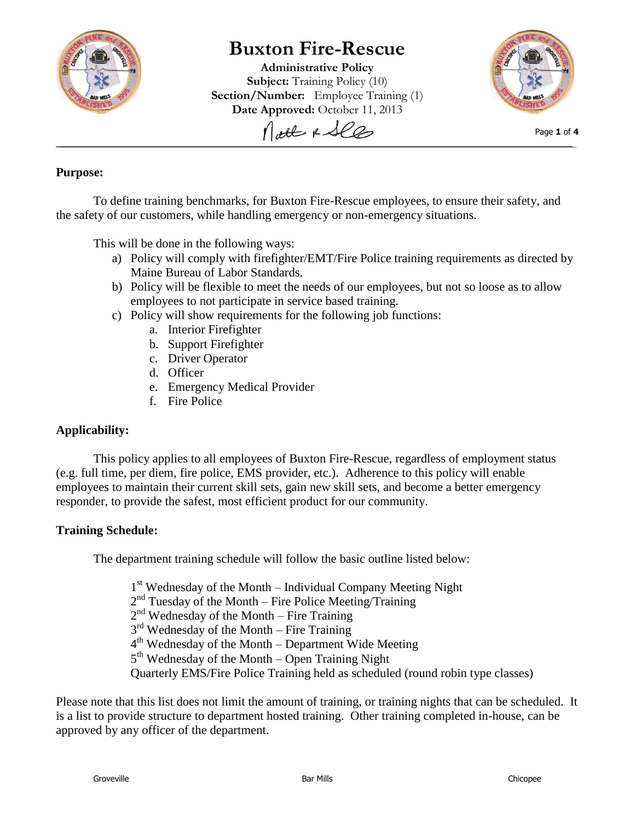

# **Buxton Fire-Rescue**

**Administrative Policy Subject:** Training Policy (10) **Section/Number:** Employee Training (1) **Date Approved:** October 11, 2013 Nott & See



Page **1** of **4**

# **Purpose:**

To define training benchmarks, for Buxton Fire-Rescue employees, to ensure their safety, and the safety of our customers, while handling emergency or non-emergency situations.

This will be done in the following ways:

- a) Policy will comply with firefighter/EMT/Fire Police training requirements as directed by Maine Bureau of Labor Standards.
- b) Policy will be flexible to meet the needs of our employees, but not so loose as to allow employees to not participate in service based training.
- c) Policy will show requirements for the following job functions:
	- a. Interior Firefighter
	- b. Support Firefighter
	- c. Driver Operator
	- d. Officer
	- e. Emergency Medical Provider
	- f. Fire Police

## **Applicability:**

This policy applies to all employees of Buxton Fire-Rescue, regardless of employment status (e.g. full time, per diem, fire police, EMS provider, etc.). Adherence to this policy will enable employees to maintain their current skill sets, gain new skill sets, and become a better emergency responder, to provide the safest, most efficient product for our community.

# **Training Schedule:**

The department training schedule will follow the basic outline listed below:

1<sup>st</sup> Wednesday of the Month – Individual Company Meeting Night

2<sup>nd</sup> Tuesday of the Month – Fire Police Meeting/Training

2<sup>nd</sup> Wednesday of the Month – Fire Training

3<sup>rd</sup> Wednesday of the Month – Fire Training

4<sup>th</sup> Wednesday of the Month – Department Wide Meeting

5<sup>th</sup> Wednesday of the Month – Open Training Night

Quarterly EMS/Fire Police Training held as scheduled (round robin type classes)

Please note that this list does not limit the amount of training, or training nights that can be scheduled. It is a list to provide structure to department hosted training. Other training completed in-house, can be approved by any officer of the department.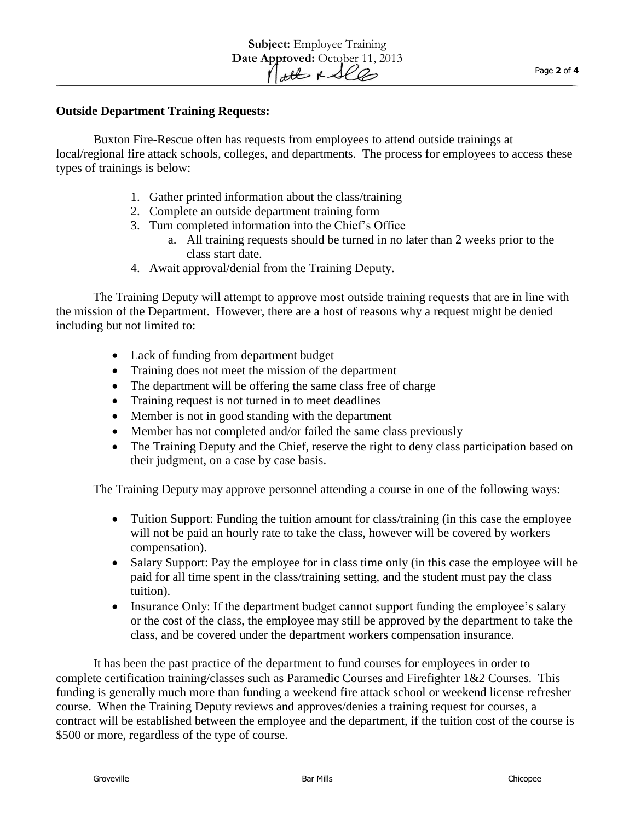#### **Outside Department Training Requests:**

Buxton Fire-Rescue often has requests from employees to attend outside trainings at local/regional fire attack schools, colleges, and departments. The process for employees to access these types of trainings is below:

- 1. Gather printed information about the class/training
- 2. Complete an outside department training form
- 3. Turn completed information into the Chief's Office
	- a. All training requests should be turned in no later than 2 weeks prior to the class start date.
- 4. Await approval/denial from the Training Deputy.

The Training Deputy will attempt to approve most outside training requests that are in line with the mission of the Department. However, there are a host of reasons why a request might be denied including but not limited to:

- Lack of funding from department budget
- Training does not meet the mission of the department
- The department will be offering the same class free of charge
- Training request is not turned in to meet deadlines
- Member is not in good standing with the department
- Member has not completed and/or failed the same class previously
- The Training Deputy and the Chief, reserve the right to deny class participation based on their judgment, on a case by case basis.

The Training Deputy may approve personnel attending a course in one of the following ways:

- Tuition Support: Funding the tuition amount for class/training (in this case the employee will not be paid an hourly rate to take the class, however will be covered by workers compensation).
- Salary Support: Pay the employee for in class time only (in this case the employee will be paid for all time spent in the class/training setting, and the student must pay the class tuition).
- Insurance Only: If the department budget cannot support funding the employee's salary or the cost of the class, the employee may still be approved by the department to take the class, and be covered under the department workers compensation insurance.

It has been the past practice of the department to fund courses for employees in order to complete certification training/classes such as Paramedic Courses and Firefighter 1&2 Courses. This funding is generally much more than funding a weekend fire attack school or weekend license refresher course. When the Training Deputy reviews and approves/denies a training request for courses, a contract will be established between the employee and the department, if the tuition cost of the course is \$500 or more, regardless of the type of course.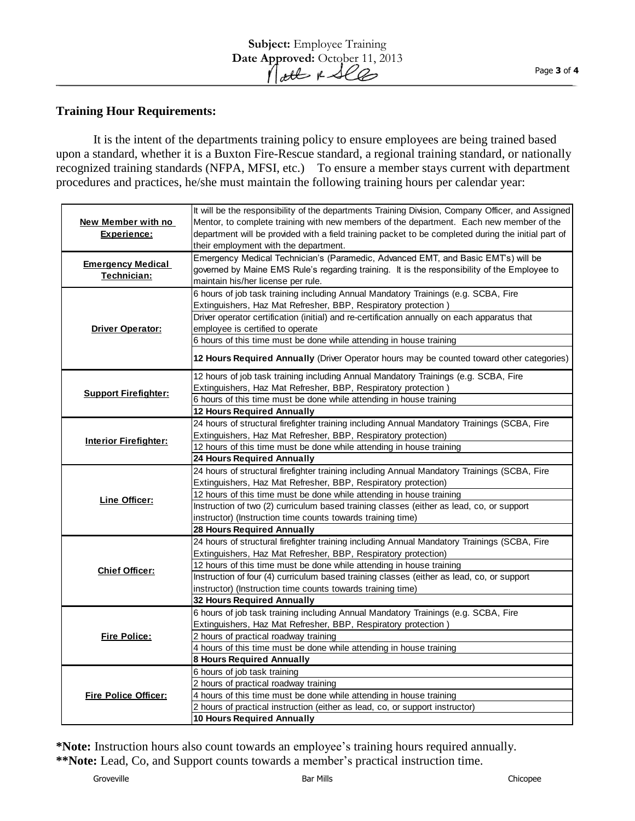## **Training Hour Requirements:**

It is the intent of the departments training policy to ensure employees are being trained based upon a standard, whether it is a Buxton Fire-Rescue standard, a regional training standard, or nationally recognized training standards (NFPA, MFSI, etc.) To ensure a member stays current with department procedures and practices, he/she must maintain the following training hours per calendar year:

| New Member with no<br>Experience:       | It will be the responsibility of the departments Training Division, Company Officer, and Assigned<br>Mentor, to complete training with new members of the department. Each new member of the<br>department will be provided with a field training packet to be completed during the initial part of<br>their employment with the department. |
|-----------------------------------------|----------------------------------------------------------------------------------------------------------------------------------------------------------------------------------------------------------------------------------------------------------------------------------------------------------------------------------------------|
| <b>Emergency Medical</b><br>Technician: | Emergency Medical Technician's (Paramedic, Advanced EMT, and Basic EMT's) will be<br>governed by Maine EMS Rule's regarding training. It is the responsibility of the Employee to<br>maintain his/her license per rule.                                                                                                                      |
| <b>Driver Operator:</b>                 | 6 hours of job task training including Annual Mandatory Trainings (e.g. SCBA, Fire<br>Extinguishers, Haz Mat Refresher, BBP, Respiratory protection)                                                                                                                                                                                         |
|                                         | Driver operator certification (initial) and re-certification annually on each apparatus that<br>employee is certified to operate                                                                                                                                                                                                             |
|                                         | 6 hours of this time must be done while attending in house training<br>12 Hours Required Annually (Driver Operator hours may be counted toward other categories)                                                                                                                                                                             |
|                                         | 12 hours of job task training including Annual Mandatory Trainings (e.g. SCBA, Fire                                                                                                                                                                                                                                                          |
| <b>Support Firefighter:</b>             | Extinguishers, Haz Mat Refresher, BBP, Respiratory protection)                                                                                                                                                                                                                                                                               |
|                                         | 6 hours of this time must be done while attending in house training                                                                                                                                                                                                                                                                          |
|                                         | <b>12 Hours Required Annually</b>                                                                                                                                                                                                                                                                                                            |
| <b>Interior Firefighter:</b>            | 24 hours of structural firefighter training including Annual Mandatory Trainings (SCBA, Fire                                                                                                                                                                                                                                                 |
|                                         | Extinguishers, Haz Mat Refresher, BBP, Respiratory protection)                                                                                                                                                                                                                                                                               |
|                                         | 12 hours of this time must be done while attending in house training                                                                                                                                                                                                                                                                         |
|                                         | <b>24 Hours Required Annually</b>                                                                                                                                                                                                                                                                                                            |
|                                         | 24 hours of structural firefighter training including Annual Mandatory Trainings (SCBA, Fire                                                                                                                                                                                                                                                 |
| Line Officer:                           | Extinguishers, Haz Mat Refresher, BBP, Respiratory protection)                                                                                                                                                                                                                                                                               |
|                                         | 12 hours of this time must be done while attending in house training                                                                                                                                                                                                                                                                         |
|                                         | Instruction of two (2) curriculum based training classes (either as lead, co, or support                                                                                                                                                                                                                                                     |
|                                         | instructor) (Instruction time counts towards training time)                                                                                                                                                                                                                                                                                  |
|                                         | 28 Hours Required Annually                                                                                                                                                                                                                                                                                                                   |
| <b>Chief Officer:</b>                   | 24 hours of structural firefighter training including Annual Mandatory Trainings (SCBA, Fire<br>Extinguishers, Haz Mat Refresher, BBP, Respiratory protection)                                                                                                                                                                               |
|                                         | 12 hours of this time must be done while attending in house training                                                                                                                                                                                                                                                                         |
|                                         | Instruction of four (4) curriculum based training classes (either as lead, co, or support                                                                                                                                                                                                                                                    |
|                                         | instructor) (Instruction time counts towards training time)                                                                                                                                                                                                                                                                                  |
|                                         | <b>32 Hours Required Annually</b>                                                                                                                                                                                                                                                                                                            |
| <b>Fire Police:</b>                     | 6 hours of job task training including Annual Mandatory Trainings (e.g. SCBA, Fire                                                                                                                                                                                                                                                           |
|                                         | Extinguishers, Haz Mat Refresher, BBP, Respiratory protection)                                                                                                                                                                                                                                                                               |
|                                         | 2 hours of practical roadway training                                                                                                                                                                                                                                                                                                        |
|                                         | 4 hours of this time must be done while attending in house training                                                                                                                                                                                                                                                                          |
|                                         | <b>8 Hours Required Annually</b>                                                                                                                                                                                                                                                                                                             |
| <b>Fire Police Officer:</b>             | 6 hours of job task training                                                                                                                                                                                                                                                                                                                 |
|                                         | 2 hours of practical roadway training                                                                                                                                                                                                                                                                                                        |
|                                         | 4 hours of this time must be done while attending in house training                                                                                                                                                                                                                                                                          |
|                                         | 2 hours of practical instruction (either as lead, co, or support instructor)                                                                                                                                                                                                                                                                 |
|                                         | <b>10 Hours Required Annually</b>                                                                                                                                                                                                                                                                                                            |

**\*Note:** Instruction hours also count towards an employee's training hours required annually. **\*\*Note:** Lead, Co, and Support counts towards a member's practical instruction time.